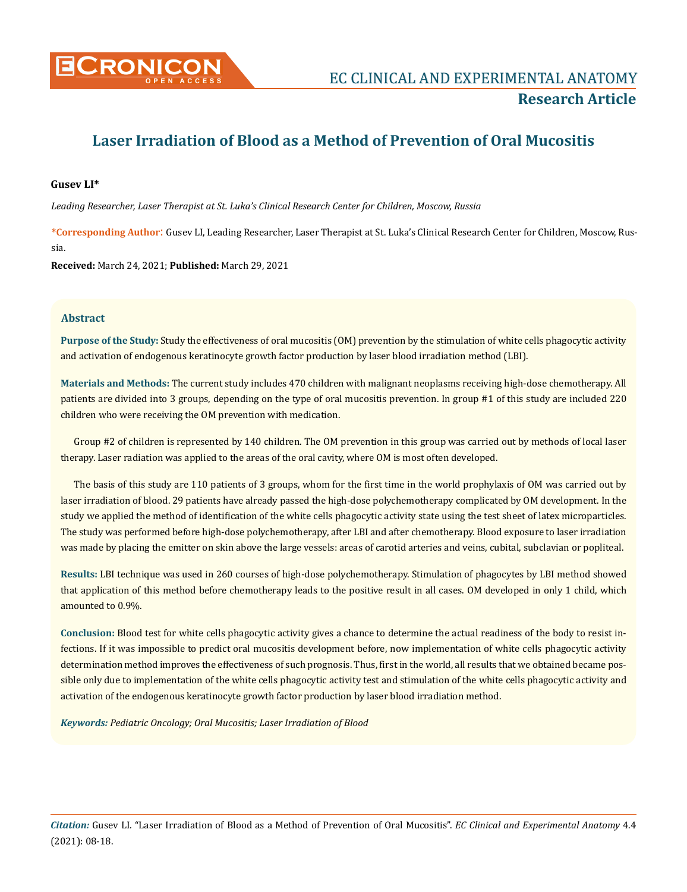

# **Laser Irradiation of Blood as a Method of Prevention of Oral Mucositis**

# **Gusev LI\***

*Leading Researcher, Laser Therapist at St. Luka's Clinical Research Center for Children, Moscow, Russia*

**\*Corresponding Author**: Gusev LI, Leading Researcher, Laser Therapist at St. Luka's Clinical Research Center for Children, Moscow, Russia.

**Received:** March 24, 2021; **Published:** March 29, 2021

# **Abstract**

**Purpose of the Study:** Study the effectiveness of oral mucositis (OM) prevention by the stimulation of white cells phagocytic activity and activation of endogenous keratinocyte growth factor production by laser blood irradiation method (LBI).

**Materials and Methods:** The current study includes 470 children with malignant neoplasms receiving high-dose chemotherapy. All patients are divided into 3 groups, depending on the type of oral mucositis prevention. In group #1 of this study are included 220 children who were receiving the OM prevention with medication.

Group #2 of children is represented by 140 children. The OM prevention in this group was carried out by methods of local laser therapy. Laser radiation was applied to the areas of the oral cavity, where OM is most often developed.

The basis of this study are 110 patients of 3 groups, whom for the first time in the world prophylaxis of OM was carried out by laser irradiation of blood. 29 patients have already passed the high-dose polychemotherapy complicated by OM development. In the study we applied the method of identification of the white cells phagocytic activity state using the test sheet of latex microparticles. The study was performed before high-dose polychemotherapy, after LBI and after chemotherapy. Blood exposure to laser irradiation was made by placing the emitter on skin above the large vessels: areas of carotid arteries and veins, cubital, subclavian or popliteal.

**Results:** LBI technique was used in 260 courses of high-dose polychemotherapy. Stimulation of phagocytes by LBI method showed that application of this method before chemotherapy leads to the positive result in all cases. OM developed in only 1 child, which amounted to 0.9%.

**Conclusion:** Blood test for white cells phagocytic activity gives a chance to determine the actual readiness of the body to resist infections. If it was impossible to predict oral mucositis development before, now implementation of white cells phagocytic activity determination method improves the effectiveness of such prognosis. Thus, first in the world, all results that we obtained became possible only due to implementation of the white cells phagocytic activity test and stimulation of the white cells phagocytic activity and activation of the endogenous keratinocyte growth factor production by laser blood irradiation method.

*Keywords: Pediatric Oncology; Oral Mucositis; Laser Irradiation of Blood*

*Citation:* Gusev LI*.* "Laser Irradiation of Blood as a Method of Prevention of Oral Mucositis". *EC Clinical and Experimental Anatomy* 4.4 (2021): 08-18.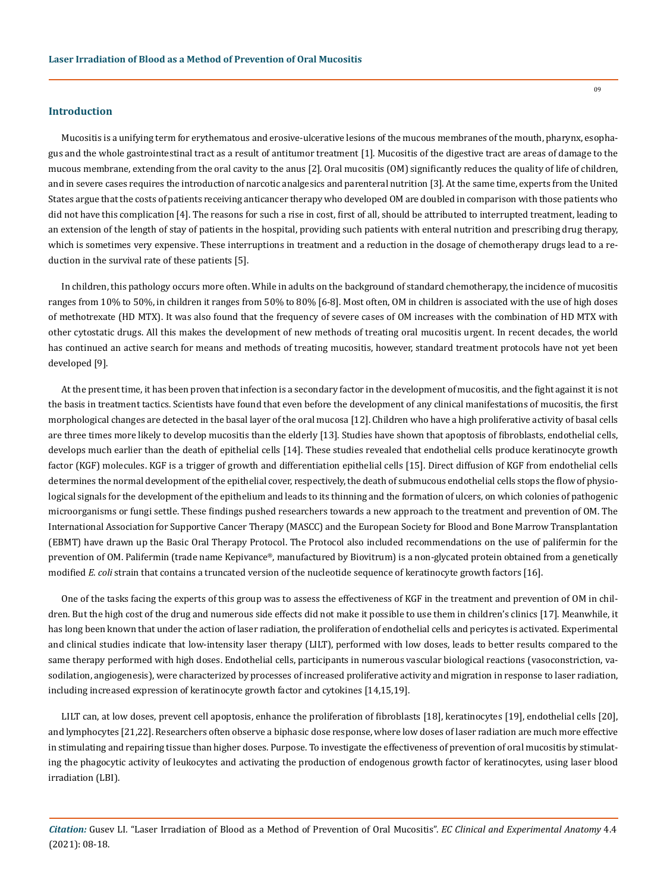#### **Introduction**

Mucositis is a unifying term for erythematous and erosive-ulcerative lesions of the mucous membranes of the mouth, pharynx, esophagus and the whole gastrointestinal tract as a result of antitumor treatment [1]. Mucositis of the digestive tract are areas of damage to the mucous membrane, extending from the oral cavity to the anus [2]. Oral mucositis (OM) significantly reduces the quality of life of children, and in severe cases requires the introduction of narcotic analgesics and parenteral nutrition [3]. At the same time, experts from the United States argue that the costs of patients receiving anticancer therapy who developed OM are doubled in comparison with those patients who did not have this complication [4]. The reasons for such a rise in cost, first of all, should be attributed to interrupted treatment, leading to an extension of the length of stay of patients in the hospital, providing such patients with enteral nutrition and prescribing drug therapy, which is sometimes very expensive. These interruptions in treatment and a reduction in the dosage of chemotherapy drugs lead to a reduction in the survival rate of these patients [5].

In children, this pathology occurs more often. While in adults on the background of standard chemotherapy, the incidence of mucositis ranges from 10% to 50%, in children it ranges from 50% to 80% [6-8]. Most often, OM in children is associated with the use of high doses of methotrexate (HD MTX). It was also found that the frequency of severe cases of OM increases with the combination of HD MTX with other cytostatic drugs. All this makes the development of new methods of treating oral mucositis urgent. In recent decades, the world has continued an active search for means and methods of treating mucositis, however, standard treatment protocols have not yet been developed [9].

At the present time, it has been proven that infection is a secondary factor in the development of mucositis, and the fight against it is not the basis in treatment tactics. Scientists have found that even before the development of any clinical manifestations of mucositis, the first morphological changes are detected in the basal layer of the oral mucosa [12]. Children who have a high proliferative activity of basal cells are three times more likely to develop mucositis than the elderly [13]. Studies have shown that apoptosis of fibroblasts, endothelial cells, develops much earlier than the death of epithelial cells [14]. These studies revealed that endothelial cells produce keratinocyte growth factor (KGF) molecules. KGF is a trigger of growth and differentiation epithelial cells [15]. Direct diffusion of KGF from endothelial cells determines the normal development of the epithelial cover, respectively, the death of submucous endothelial cells stops the flow of physiological signals for the development of the epithelium and leads to its thinning and the formation of ulcers, on which colonies of pathogenic microorganisms or fungi settle. These findings pushed researchers towards a new approach to the treatment and prevention of OM. The International Association for Supportive Cancer Therapy (MASCC) and the European Society for Blood and Bone Marrow Transplantation (EBMT) have drawn up the Basic Oral Therapy Protocol. The Protocol also included recommendations on the use of palifermin for the prevention of OM. Palifermin (trade name Kepivance®, manufactured by Biovitrum) is a non-glycated protein obtained from a genetically modified *E. coli* strain that contains a truncated version of the nucleotide sequence of keratinocyte growth factors [16].

One of the tasks facing the experts of this group was to assess the effectiveness of KGF in the treatment and prevention of OM in children. But the high cost of the drug and numerous side effects did not make it possible to use them in children's clinics [17]. Meanwhile, it has long been known that under the action of laser radiation, the proliferation of endothelial cells and pericytes is activated. Experimental and clinical studies indicate that low-intensity laser therapy (LILT), performed with low doses, leads to better results compared to the same therapy performed with high doses. Endothelial cells, participants in numerous vascular biological reactions (vasoconstriction, vasodilation, angiogenesis), were characterized by processes of increased proliferative activity and migration in response to laser radiation, including increased expression of keratinocyte growth factor and cytokines [14,15,19].

LILT can, at low doses, prevent cell apoptosis, enhance the proliferation of fibroblasts [18], keratinocytes [19], endothelial cells [20], and lymphocytes [21,22]. Researchers often observe a biphasic dose response, where low doses of laser radiation are much more effective in stimulating and repairing tissue than higher doses. Purpose. To investigate the effectiveness of prevention of oral mucositis by stimulating the phagocytic activity of leukocytes and activating the production of endogenous growth factor of keratinocytes, using laser blood irradiation (LBI).

*Citation:* Gusev LI*.* "Laser Irradiation of Blood as a Method of Prevention of Oral Mucositis". *EC Clinical and Experimental Anatomy* 4.4 (2021): 08-18.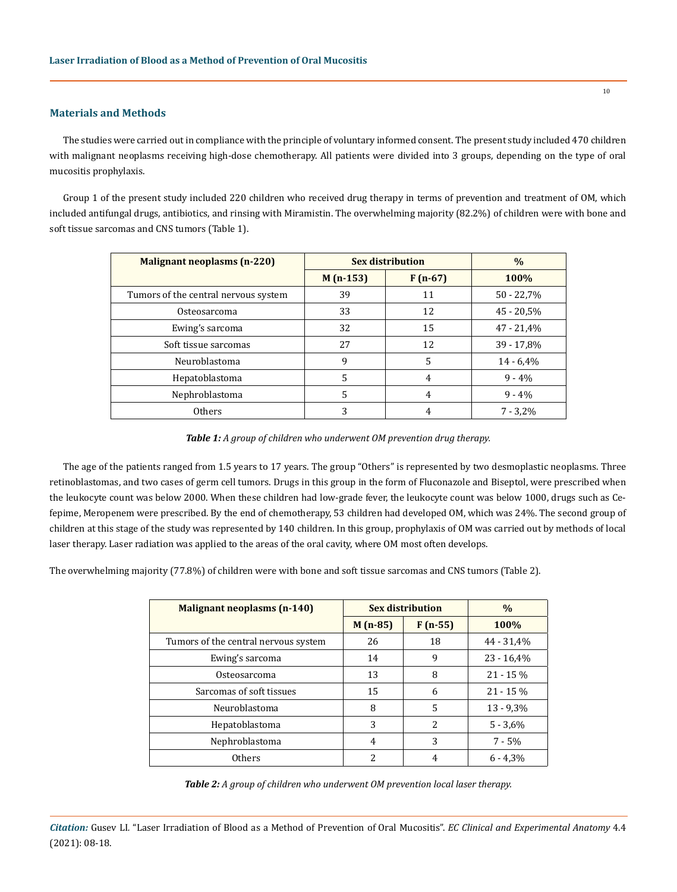# **Materials and Methods**

The studies were carried out in compliance with the principle of voluntary informed consent. The present study included 470 children with malignant neoplasms receiving high-dose chemotherapy. All patients were divided into 3 groups, depending on the type of oral mucositis prophylaxis.

Group 1 of the present study included 220 children who received drug therapy in terms of prevention and treatment of OM, which included antifungal drugs, antibiotics, and rinsing with Miramistin. The overwhelming majority (82.2%) of children were with bone and soft tissue sarcomas and CNS tumors (Table 1).

| <b>Malignant neoplasms (n-220)</b>   | <b>Sex distribution</b> | $\%$      |              |  |
|--------------------------------------|-------------------------|-----------|--------------|--|
|                                      | $M(n-153)$              | $F(n-67)$ | 100%         |  |
| Tumors of the central nervous system | 39                      | 11        | $50 - 22,7%$ |  |
| Osteosarcoma                         | 33                      | 12        | $45 - 20.5%$ |  |
| Ewing's sarcoma                      | 32                      | 15        | $47 - 21,4%$ |  |
| Soft tissue sarcomas                 | 27                      | 12        | $39 - 17,8%$ |  |
| Neuroblastoma                        | 9                       | 5         | $14 - 6,4%$  |  |
| Hepatoblastoma                       | 5                       | 4         | $9 - 4%$     |  |
| Nephroblastoma                       | 5                       | 4         | $9 - 4%$     |  |
| <b>Others</b>                        | 3                       | 4         | $7 - 3.2\%$  |  |

*Table 1: A group of children who underwent OM prevention drug therapy.*

The age of the patients ranged from 1.5 years to 17 years. The group "Others" is represented by two desmoplastic neoplasms. Three retinoblastomas, and two cases of germ cell tumors. Drugs in this group in the form of Fluconazole and Biseptol, were prescribed when the leukocyte count was below 2000. When these children had low-grade fever, the leukocyte count was below 1000, drugs such as Cefepime, Meropenem were prescribed. By the end of chemotherapy, 53 children had developed OM, which was 24%. The second group of children at this stage of the study was represented by 140 children. In this group, prophylaxis of OM was carried out by methods of local laser therapy. Laser radiation was applied to the areas of the oral cavity, where OM most often develops.

The overwhelming majority (77.8%) of children were with bone and soft tissue sarcomas and CNS tumors (Table 2).

| <b>Malignant neoplasms (n-140)</b>   | <b>Sex distribution</b> | $\%$           |              |
|--------------------------------------|-------------------------|----------------|--------------|
|                                      | $M(n-85)$               | $F(n-55)$      | 100%         |
| Tumors of the central nervous system | 26                      | 18             | 44 - 31,4%   |
| Ewing's sarcoma                      | 14                      | 9              | $23 - 16,4%$ |
| Osteosarcoma                         | 13                      | 8              | $21 - 15%$   |
| Sarcomas of soft tissues             | 15                      | 6              | $21 - 15%$   |
| Neuroblastoma                        | 8                       | 5              | $13 - 9,3%$  |
| Hepatoblastoma                       | 3                       | $\overline{c}$ | $5 - 3.6%$   |
| Nephroblastoma                       | 4                       | 3              | $7 - 5%$     |
| Others                               | 2                       | 4              | $6 - 4.3\%$  |

| Table 2: A group of children who underwent OM prevention local laser therapy. |  |  |  |
|-------------------------------------------------------------------------------|--|--|--|
|-------------------------------------------------------------------------------|--|--|--|

*Citation:* Gusev LI*.* "Laser Irradiation of Blood as a Method of Prevention of Oral Mucositis". *EC Clinical and Experimental Anatomy* 4.4 (2021): 08-18.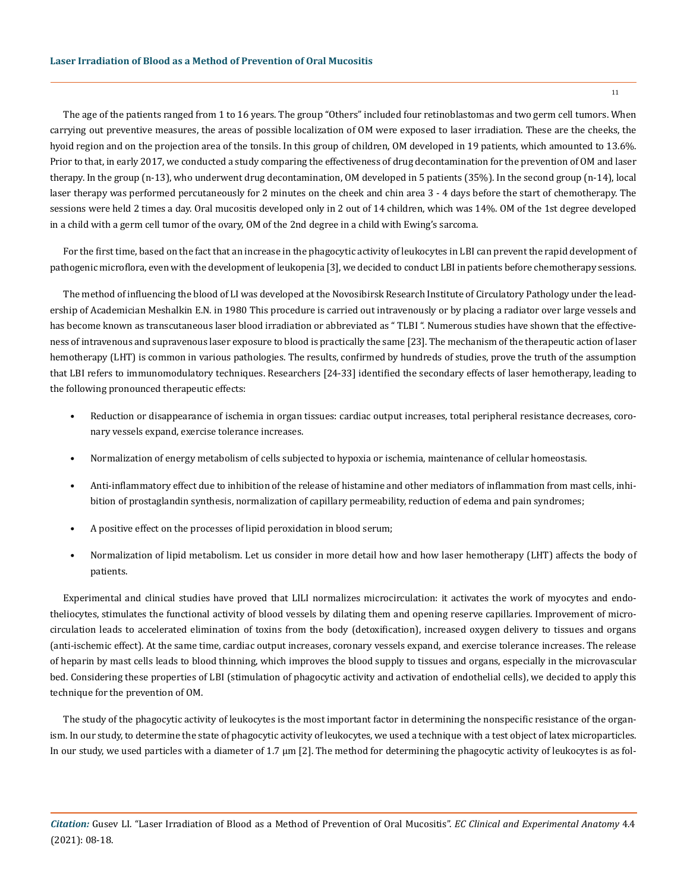The age of the patients ranged from 1 to 16 years. The group "Others" included four retinoblastomas and two germ cell tumors. When carrying out preventive measures, the areas of possible localization of OM were exposed to laser irradiation. These are the cheeks, the hyoid region and on the projection area of the tonsils. In this group of children, OM developed in 19 patients, which amounted to 13.6%. Prior to that, in early 2017, we conducted a study comparing the effectiveness of drug decontamination for the prevention of OM and laser therapy. In the group (n-13), who underwent drug decontamination, OM developed in 5 patients (35%). In the second group (n-14), local laser therapy was performed percutaneously for 2 minutes on the cheek and chin area 3 - 4 days before the start of chemotherapy. The sessions were held 2 times a day. Oral mucositis developed only in 2 out of 14 children, which was 14%. OM of the 1st degree developed in a child with a germ cell tumor of the ovary, OM of the 2nd degree in a child with Ewing's sarcoma.

For the first time, based on the fact that an increase in the phagocytic activity of leukocytes in LBI can prevent the rapid development of pathogenic microflora, even with the development of leukopenia [3], we decided to conduct LBI in patients before chemotherapy sessions.

The method of influencing the blood of LI was developed at the Novosibirsk Research Institute of Circulatory Pathology under the leadership of Academician Meshalkin E.N. in 1980 This procedure is carried out intravenously or by placing a radiator over large vessels and has become known as transcutaneous laser blood irradiation or abbreviated as " TLBI ". Numerous studies have shown that the effectiveness of intravenous and supravenous laser exposure to blood is practically the same [23]. The mechanism of the therapeutic action of laser hemotherapy (LHT) is common in various pathologies. The results, confirmed by hundreds of studies, prove the truth of the assumption that LBI refers to immunomodulatory techniques. Researchers [24-33] identified the secondary effects of laser hemotherapy, leading to the following pronounced therapeutic effects:

- Reduction or disappearance of ischemia in organ tissues: cardiac output increases, total peripheral resistance decreases, coronary vessels expand, exercise tolerance increases.
- Normalization of energy metabolism of cells subjected to hypoxia or ischemia, maintenance of cellular homeostasis.
- Anti-inflammatory effect due to inhibition of the release of histamine and other mediators of inflammation from mast cells, inhibition of prostaglandin synthesis, normalization of capillary permeability, reduction of edema and pain syndromes;
- A positive effect on the processes of lipid peroxidation in blood serum;
- Normalization of lipid metabolism. Let us consider in more detail how and how laser hemotherapy (LHT) affects the body of patients.

Experimental and clinical studies have proved that LILI normalizes microcirculation: it activates the work of myocytes and endotheliocytes, stimulates the functional activity of blood vessels by dilating them and opening reserve capillaries. Improvement of microcirculation leads to accelerated elimination of toxins from the body (detoxification), increased oxygen delivery to tissues and organs (anti-ischemic effect). At the same time, cardiac output increases, coronary vessels expand, and exercise tolerance increases. The release of heparin by mast cells leads to blood thinning, which improves the blood supply to tissues and organs, especially in the microvascular bed. Considering these properties of LBI (stimulation of phagocytic activity and activation of endothelial cells), we decided to apply this technique for the prevention of OM.

The study of the phagocytic activity of leukocytes is the most important factor in determining the nonspecific resistance of the organism. In our study, to determine the state of phagocytic activity of leukocytes, we used a technique with a test object of latex microparticles. In our study, we used particles with a diameter of 1.7 µm [2]. The method for determining the phagocytic activity of leukocytes is as fol-

*Citation:* Gusev LI*.* "Laser Irradiation of Blood as a Method of Prevention of Oral Mucositis". *EC Clinical and Experimental Anatomy* 4.4 (2021): 08-18.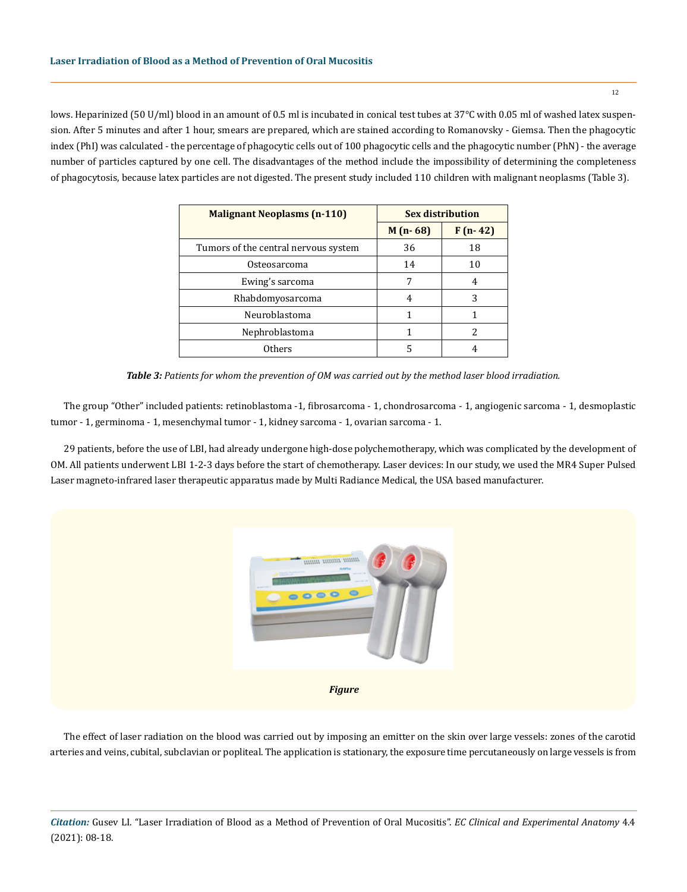lows. Heparinized (50 U/ml) blood in an amount of 0.5 ml is incubated in conical test tubes at 37°C with 0.05 ml of washed latex suspension. After 5 minutes and after 1 hour, smears are prepared, which are stained according to Romanovsky - Giemsa. Then the phagocytic index (PhI) was calculated - the percentage of phagocytic cells out of 100 phagocytic cells and the phagocytic number (PhN) - the average number of particles captured by one cell. The disadvantages of the method include the impossibility of determining the completeness of phagocytosis, because latex particles are not digested. The present study included 110 children with malignant neoplasms (Table 3).

| <b>Malignant Neoplasms (n-110)</b>   | <b>Sex distribution</b> |           |  |
|--------------------------------------|-------------------------|-----------|--|
|                                      | $M(n-68)$               | $F(n-42)$ |  |
| Tumors of the central nervous system | 36                      | 18        |  |
| Osteosarcoma                         | 14                      | 10        |  |
| Ewing's sarcoma                      |                         |           |  |
| Rhabdomyosarcoma                     | 4                       | 3         |  |
| Neuroblastoma                        |                         |           |  |
| Nephroblastoma                       |                         |           |  |
| Others                               | 5                       |           |  |

*Table 3: Patients for whom the prevention of OM was carried out by the method laser blood irradiation.*

The group "Other" included patients: retinoblastoma -1, fibrosarcoma - 1, chondrosarcoma - 1, angiogenic sarcoma - 1, desmoplastic tumor - 1, germinoma - 1, mesenchymal tumor - 1, kidney sarcoma - 1, ovarian sarcoma - 1.

29 patients, before the use of LBI, had already undergone high-dose polychemotherapy, which was complicated by the development of OM. All patients underwent LBI 1-2-3 days before the start of chemotherapy. Laser devices: In our study, we used the MR4 Super Pulsed Laser magneto-infrared laser therapeutic apparatus made by Multi Radiance Medical, the USA based manufacturer.



The effect of laser radiation on the blood was carried out by imposing an emitter on the skin over large vessels: zones of the carotid arteries and veins, cubital, subclavian or popliteal. The application is stationary, the exposure time percutaneously on large vessels is from

*Citation:* Gusev LI*.* "Laser Irradiation of Blood as a Method of Prevention of Oral Mucositis". *EC Clinical and Experimental Anatomy* 4.4 (2021): 08-18.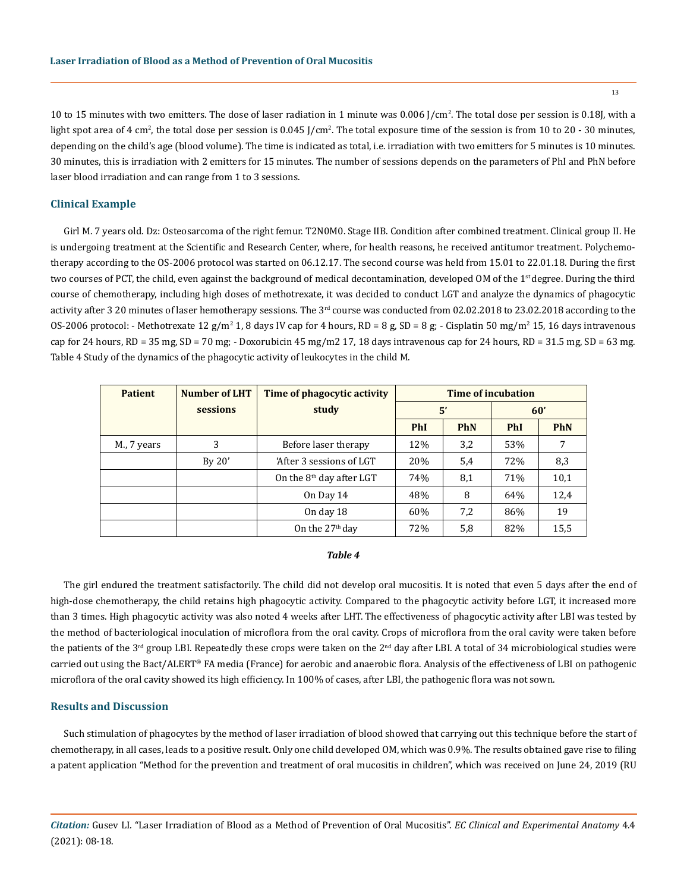10 to 15 minutes with two emitters. The dose of laser radiation in 1 minute was 0.006 J/cm<sup>2</sup> . The total dose per session is 0.18J, with a light spot area of 4 cm<sup>2</sup>, the total dose per session is 0.045 J/cm<sup>2</sup>. The total exposure time of the session is from 10 to 20 - 30 minutes, depending on the child's age (blood volume). The time is indicated as total, i.e. irradiation with two emitters for 5 minutes is 10 minutes. 30 minutes, this is irradiation with 2 emitters for 15 minutes. The number of sessions depends on the parameters of PhI and PhN before laser blood irradiation and can range from 1 to 3 sessions.

# **Clinical Example**

Girl M. 7 years old. Dz: Osteosarcoma of the right femur. T2N0M0. Stage IIB. Condition after combined treatment. Clinical group II. He is undergoing treatment at the Scientific and Research Center, where, for health reasons, he received antitumor treatment. Polychemotherapy according to the OS-2006 protocol was started on 06.12.17. The second course was held from 15.01 to 22.01.18. During the first two courses of PCT, the child, even against the background of medical decontamination, developed OM of the 1<sup>st</sup> degree. During the third course of chemotherapy, including high doses of methotrexate, it was decided to conduct LGT and analyze the dynamics of phagocytic activity after 3 20 minutes of laser hemotherapy sessions. The 3<sup>rd</sup> course was conducted from 02.02.2018 to 23.02.2018 according to the OS-2006 protocol: - Methotrexate 12 g/m<sup>2</sup> 1, 8 days IV cap for 4 hours, RD = 8 g, SD = 8 g; - Cisplatin 50 mg/m<sup>2</sup> 15, 16 days intravenous cap for 24 hours, RD = 35 mg, SD = 70 mg; - Doxorubicin 45 mg/m2 17, 18 days intravenous cap for 24 hours, RD = 31.5 mg, SD = 63 mg. Table 4 Study of the dynamics of the phagocytic activity of leukocytes in the child M.

| <b>Patient</b> | Number of LHT | Time of phagocytic activity | Time of incubation |            |            |            |
|----------------|---------------|-----------------------------|--------------------|------------|------------|------------|
|                | sessions      | study                       | 5'                 |            | 60'        |            |
|                |               |                             | <b>PhI</b>         | <b>PhN</b> | <b>PhI</b> | <b>PhN</b> |
| M., 7 years    | 3             | Before laser therapy        | 12%                | 3,2        | 53%        | 7          |
|                | By 20'        | 'After 3 sessions of LGT    | 20%                | 5,4        | 72%        | 8,3        |
|                |               | On the $8th$ day after LGT  | 74%                | 8,1        | 71%        | 10,1       |
|                |               | On Day 14                   | 48%                | 8          | 64%        | 12,4       |
|                |               | On day 18                   | 60%                | 7,2        | 86%        | 19         |
|                |               | On the $27th$ day           | 72%                | 5,8        | 82%        | 15,5       |

#### *Table 4*

The girl endured the treatment satisfactorily. The child did not develop oral mucositis. It is noted that even 5 days after the end of high-dose chemotherapy, the child retains high phagocytic activity. Compared to the phagocytic activity before LGT, it increased more than 3 times. High phagocytic activity was also noted 4 weeks after LHT. The effectiveness of phagocytic activity after LBI was tested by the method of bacteriological inoculation of microflora from the oral cavity. Crops of microflora from the oral cavity were taken before the patients of the 3<sup>rd</sup> group LBI. Repeatedly these crops were taken on the 2<sup>nd</sup> day after LBI. A total of 34 microbiological studies were carried out using the Bact/ALERT® FA media (France) for aerobic and anaerobic flora. Analysis of the effectiveness of LBI on pathogenic microflora of the oral cavity showed its high efficiency. In 100% of cases, after LBI, the pathogenic flora was not sown.

### **Results and Discussion**

Such stimulation of phagocytes by the method of laser irradiation of blood showed that carrying out this technique before the start of chemotherapy, in all cases, leads to a positive result. Only one child developed OM, which was 0.9%. The results obtained gave rise to filing a patent application "Method for the prevention and treatment of oral mucositis in children", which was received on June 24, 2019 (RU

*Citation:* Gusev LI*.* "Laser Irradiation of Blood as a Method of Prevention of Oral Mucositis". *EC Clinical and Experimental Anatomy* 4.4 (2021): 08-18.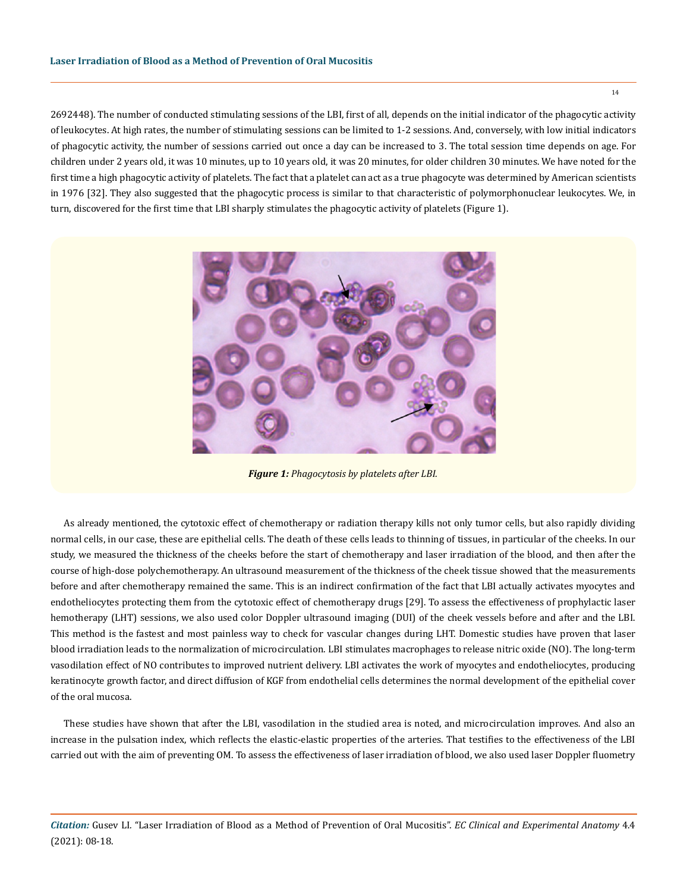2692448). The number of conducted stimulating sessions of the LBI, first of all, depends on the initial indicator of the phagocytic activity of leukocytes. At high rates, the number of stimulating sessions can be limited to 1-2 sessions. And, conversely, with low initial indicators of phagocytic activity, the number of sessions carried out once a day can be increased to 3. The total session time depends on age. For children under 2 years old, it was 10 minutes, up to 10 years old, it was 20 minutes, for older children 30 minutes. We have noted for the first time a high phagocytic activity of platelets. The fact that a platelet can act as a true phagocyte was determined by American scientists in 1976 [32]. They also suggested that the phagocytic process is similar to that characteristic of polymorphonuclear leukocytes. We, in turn, discovered for the first time that LBI sharply stimulates the phagocytic activity of platelets (Figure 1).



*Figure 1: Phagocytosis by platelets after LBI.*

As already mentioned, the cytotoxic effect of chemotherapy or radiation therapy kills not only tumor cells, but also rapidly dividing normal cells, in our case, these are epithelial cells. The death of these cells leads to thinning of tissues, in particular of the cheeks. In our study, we measured the thickness of the cheeks before the start of chemotherapy and laser irradiation of the blood, and then after the course of high-dose polychemotherapy. An ultrasound measurement of the thickness of the cheek tissue showed that the measurements before and after chemotherapy remained the same. This is an indirect confirmation of the fact that LBI actually activates myocytes and endotheliocytes protecting them from the cytotoxic effect of chemotherapy drugs [29]. To assess the effectiveness of prophylactic laser hemotherapy (LHT) sessions, we also used color Doppler ultrasound imaging (DUI) of the cheek vessels before and after and the LBI. This method is the fastest and most painless way to check for vascular changes during LHT. Domestic studies have proven that laser blood irradiation leads to the normalization of microcirculation. LBI stimulates macrophages to release nitric oxide (NO). The long-term vasodilation effect of NO contributes to improved nutrient delivery. LBI activates the work of myocytes and endotheliocytes, producing keratinocyte growth factor, and direct diffusion of KGF from endothelial cells determines the normal development of the epithelial cover of the oral mucosa.

These studies have shown that after the LBI, vasodilation in the studied area is noted, and microcirculation improves. And also an increase in the pulsation index, which reflects the elastic-elastic properties of the arteries. That testifies to the effectiveness of the LBI carried out with the aim of preventing OM. To assess the effectiveness of laser irradiation of blood, we also used laser Doppler fluometry

*Citation:* Gusev LI*.* "Laser Irradiation of Blood as a Method of Prevention of Oral Mucositis". *EC Clinical and Experimental Anatomy* 4.4 (2021): 08-18.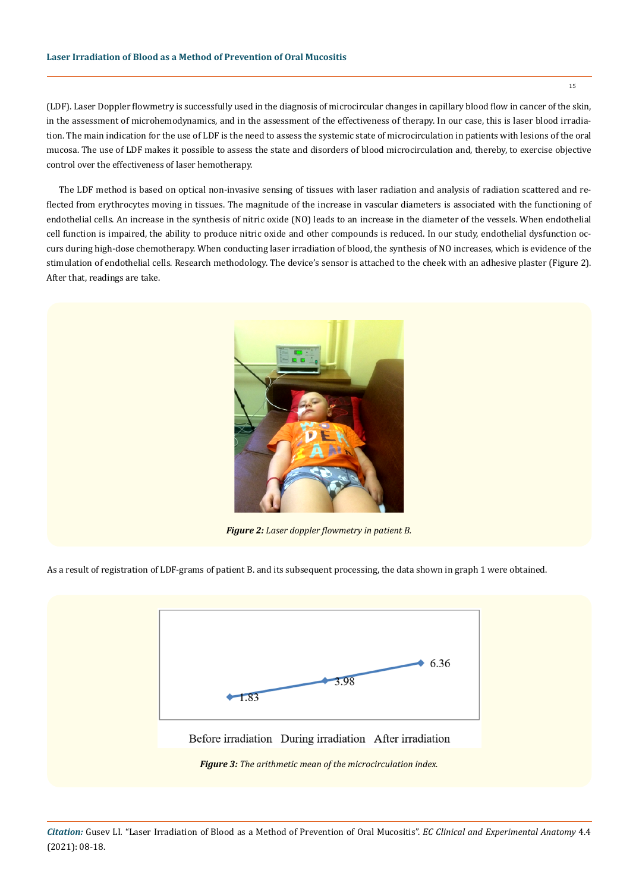# **Laser Irradiation of Blood as a Method of Prevention of Oral Mucositis**

(LDF). Laser Doppler flowmetry is successfully used in the diagnosis of microcircular changes in capillary blood flow in cancer of the skin, in the assessment of microhemodynamics, and in the assessment of the effectiveness of therapy. In our case, this is laser blood irradiation. The main indication for the use of LDF is the need to assess the systemic state of microcirculation in patients with lesions of the oral mucosa. The use of LDF makes it possible to assess the state and disorders of blood microcirculation and, thereby, to exercise objective control over the effectiveness of laser hemotherapy.

The LDF method is based on optical non-invasive sensing of tissues with laser radiation and analysis of radiation scattered and reflected from erythrocytes moving in tissues. The magnitude of the increase in vascular diameters is associated with the functioning of endothelial cells. An increase in the synthesis of nitric oxide (NO) leads to an increase in the diameter of the vessels. When endothelial cell function is impaired, the ability to produce nitric oxide and other compounds is reduced. In our study, endothelial dysfunction occurs during high-dose chemotherapy. When conducting laser irradiation of blood, the synthesis of NO increases, which is evidence of the stimulation of endothelial cells. Research methodology. The device's sensor is attached to the cheek with an adhesive plaster (Figure 2). After that, readings are take.



*Figure 2: Laser doppler flowmetry in patient B.*

As a result of registration of LDF-grams of patient B. and its subsequent processing, the data shown in graph 1 were obtained.

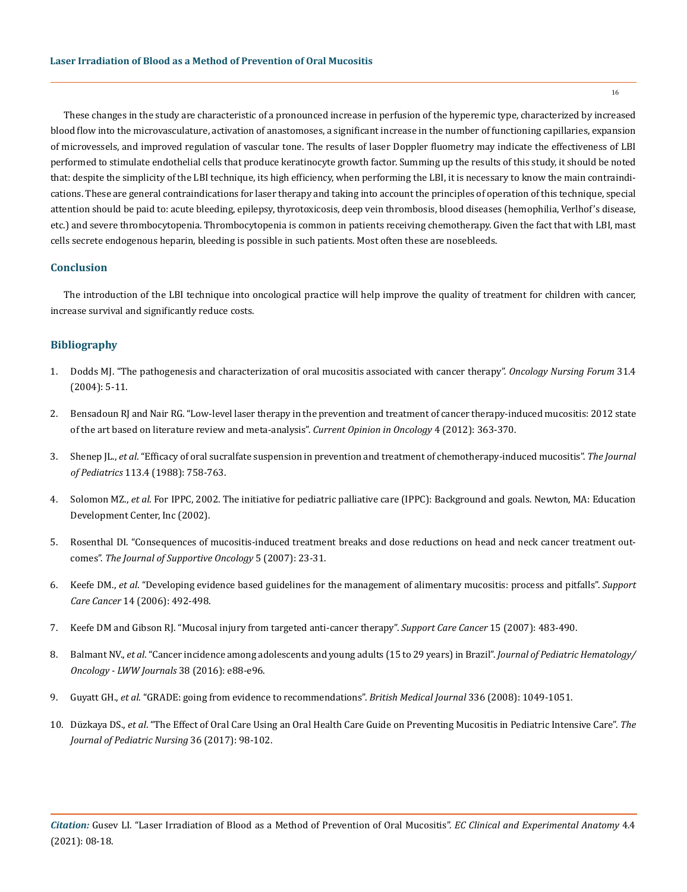These changes in the study are characteristic of a pronounced increase in perfusion of the hyperemic type, characterized by increased blood flow into the microvasculature, activation of anastomoses, a significant increase in the number of functioning capillaries, expansion of microvessels, and improved regulation of vascular tone. The results of laser Doppler fluometry may indicate the effectiveness of LBI performed to stimulate endothelial cells that produce keratinocyte growth factor. Summing up the results of this study, it should be noted that: despite the simplicity of the LBI technique, its high efficiency, when performing the LBI, it is necessary to know the main contraindications. These are general contraindications for laser therapy and taking into account the principles of operation of this technique, special attention should be paid to: acute bleeding, epilepsy, thyrotoxicosis, deep vein thrombosis, blood diseases (hemophilia, Verlhof's disease, etc.) and severe thrombocytopenia. Thrombocytopenia is common in patients receiving chemotherapy. Given the fact that with LBI, mast cells secrete endogenous heparin, bleeding is possible in such patients. Most often these are nosebleeds.

# **Conclusion**

The introduction of the LBI technique into oncological practice will help improve the quality of treatment for children with cancer, increase survival and significantly reduce costs.

# **Bibliography**

- 1. [Dodds MJ. "The pathogenesis and characterization of oral mucositis associated with cancer therapy".](https://www.researchgate.net/publication/7811420_The_Pathogenesis_and_Characterization_of_Oral_Mucositis_Associated_with_Cancer_Therapy) *Oncology Nursing Forum* 31.4 [\(2004\): 5-11.](https://www.researchgate.net/publication/7811420_The_Pathogenesis_and_Characterization_of_Oral_Mucositis_Associated_with_Cancer_Therapy)
- 2. [Bensadoun RJ and Nair RG. "Low-level laser therapy in the prevention and treatment of cancer therapy-induced mucositis: 2012 state](https://pubmed.ncbi.nlm.nih.gov/22450151/)  [of the art based on literature review and meta-analysis".](https://pubmed.ncbi.nlm.nih.gov/22450151/) *Current Opinion in Oncology* 4 (2012): 363-370.
- 3. Shenep JL., *et al*[. "Efficacy of oral sucralfate suspension in prevention and treatment of chemotherapy-induced mucositis".](https://www.cochranelibrary.com/central/doi/10.1002/central/CN-00055983/full) *The Journal of Pediatrics* [113.4 \(1988\): 758-763.](https://www.cochranelibrary.com/central/doi/10.1002/central/CN-00055983/full)
- 4. Solomon MZ., *et al*. For IPPC, 2002. The initiative for pediatric palliative care (IPPC): Background and goals. Newton, MA: Education Development Center, Inc (2002).
- 5. [Rosenthal DI. "Consequences of mucositis-induced treatment breaks and dose reductions on head and neck cancer treatment out](https://pubmed.ncbi.nlm.nih.gov/18046995/)comes". *[The Journal of Supportive Oncology](https://pubmed.ncbi.nlm.nih.gov/18046995/)* 5 (2007): 23-31.
- 6. Keefe DM., *et al*[. "Developing evidence based guidelines for the management of alimentary mucositis: process and pitfalls".](https://pubmed.ncbi.nlm.nih.gov/16601949/) *Support Care Cancer* [14 \(2006\): 492-498.](https://pubmed.ncbi.nlm.nih.gov/16601949/)
- 7. [Keefe DM and Gibson RJ. "Mucosal injury from targeted anti-cancer therapy".](https://www.ncbi.nlm.nih.gov/pmc/articles/PMC6627284/) *Support Care Cancer* 15 (2007): 483-490.
- 8. Balmant NV., *et al*[. "Cancer incidence among adolescents and young adults \(15 to 29 years\) in Brazil".](https://www.researchgate.net/publication/297595606_Cancer_Incidence_Among_Adolescents_and_Young_Adults_15_to_29_Years_in_Brazil) *Journal of Pediatric Hematology/ [Oncology - LWW Journals](https://www.researchgate.net/publication/297595606_Cancer_Incidence_Among_Adolescents_and_Young_Adults_15_to_29_Years_in_Brazil)* 38 (2016): e88-e96.
- 9. Guyatt GH., *et al*[. "GRADE: going from evidence to recommendations".](https://pubmed.ncbi.nlm.nih.gov/18467413/) *British Medical Journal* 336 (2008): 1049-1051.
- 10. Düzkaya DS., *et al*[. "The Effect of Oral Care Using an Oral Health Care Guide on Preventing Mucositis in Pediatric Intensive Care".](https://europepmc.org/article/med/28888518) *The [Journal of Pediatric Nursing](https://europepmc.org/article/med/28888518)* 36 (2017): 98-102.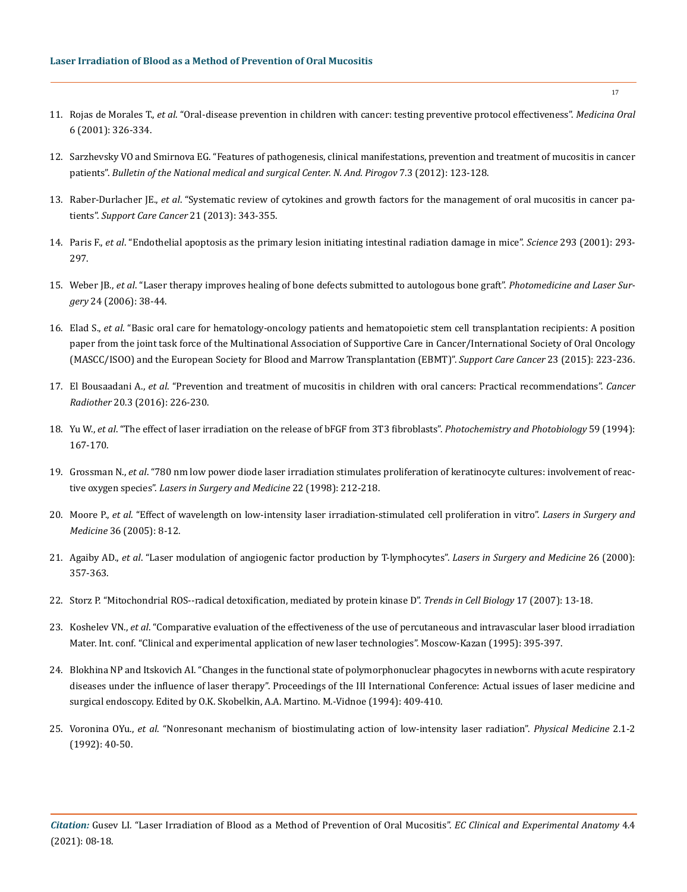- 11. Rojas de Morales T., *et al*[. "Oral-disease prevention in children with cancer: testing preventive protocol effectiveness".](https://pubmed.ncbi.nlm.nih.gov/11694865/) *Medicina Oral* [6 \(2001\): 326-334.](https://pubmed.ncbi.nlm.nih.gov/11694865/)
- 12. Sarzhevsky VO and Smirnova EG. "Features of pathogenesis, clinical manifestations, prevention and treatment of mucositis in cancer patients". *Bulletin of the National medical and surgical Center. N. And. Pirogov* 7.3 (2012): 123-128.
- 13. Raber-Durlacher JE., *et al*[. "Systematic review of cytokines and growth factors for the management of oral mucositis in cancer pa](https://pubmed.ncbi.nlm.nih.gov/32080767/)tients". *[Support Care Cancer](https://pubmed.ncbi.nlm.nih.gov/32080767/)* 21 (2013): 343-355.
- 14. Paris F., *et al*[. "Endothelial apoptosis as the primary lesion initiating intestinal radiation damage in mice".](https://pubmed.ncbi.nlm.nih.gov/11452123/) *Science* 293 (2001): 293- [297.](https://pubmed.ncbi.nlm.nih.gov/11452123/)
- 15. Weber JB., *et al*[. "Laser therapy improves healing of bone defects submitted to autologous bone graft".](https://www.liebertpub.com/doi/abs/10.1089/pho.2006.24.38?journalCode=pho) *Photomedicine and Laser Surgery* [24 \(2006\): 38-44.](https://www.liebertpub.com/doi/abs/10.1089/pho.2006.24.38?journalCode=pho)
- 16. Elad S., *et al*[. "Basic oral care for hematology-oncology patients and hematopoietic stem cell transplantation recipients: A position](https://pubmed.ncbi.nlm.nih.gov/25189149/) [paper from the joint task force of the Multinational Association of Supportive Care in Cancer/International Society of Oral Oncology](https://pubmed.ncbi.nlm.nih.gov/25189149/) [\(MASCC/ISOO\) and the European Society for Blood and Marrow Transplantation \(EBMT\)".](https://pubmed.ncbi.nlm.nih.gov/25189149/) *Support Care Cancer* 23 (2015): 223-236.
- 17. El Bousaadani A., *et al*[. "Prevention and treatment of mucositis in children with oral cancers: Practical recommendations".](https://www.ncbi.nlm.nih.gov/pmc/articles/PMC3567887/) *Cancer Radiother* [20.3 \(2016\): 226-230.](https://www.ncbi.nlm.nih.gov/pmc/articles/PMC3567887/)
- 18. Yu W., *et al*[. "The effect of laser irradiation on the release of bFGF from 3T3 fibroblasts".](https://pubmed.ncbi.nlm.nih.gov/8165235/) *Photochemistry and Photobiology* 59 (1994): [167-170.](https://pubmed.ncbi.nlm.nih.gov/8165235/)
- 19. Grossman N., *et al*[. "780 nm low power diode laser irradiation stimulates proliferation of keratinocyte cultures: involvement of reac](https://pubmed.ncbi.nlm.nih.gov/9603282/)tive oxygen species". *[Lasers in Surgery and Medicine](https://pubmed.ncbi.nlm.nih.gov/9603282/)* 22 (1998): 212-218.
- 20. Moore P., *et al*[. "Effect of wavelength on low-intensity laser irradiation-stimulated cell proliferation in vitro".](https://onlinelibrary.wiley.com/doi/abs/10.1002/lsm.20117) *Lasers in Surgery and Medicine* [36 \(2005\): 8-12.](https://onlinelibrary.wiley.com/doi/abs/10.1002/lsm.20117)
- 21. Agaiby AD., *et al*[. "Laser modulation of angiogenic factor production by T-lymphocytes".](https://pubmed.ncbi.nlm.nih.gov/10805940/) *Lasers in Surgery and Medicine* 26 (2000): [357-363.](https://pubmed.ncbi.nlm.nih.gov/10805940/)
- 22. [Storz P. "Mitochondrial ROS--radical detoxification, mediated by protein kinase D".](https://www.cell.com/trends/cell-biology/pdf/S0962-8924(06)00325-4.pdf) *Trends in Cell Biology* 17 (2007): 13-18.
- 23. Koshelev VN., *et al*. "Comparative evaluation of the effectiveness of the use of percutaneous and intravascular laser blood irradiation Mater. Int. conf. "Clinical and experimental application of new laser technologies". Moscow-Kazan (1995): 395-397.
- 24. Blokhina NP and Itskovich AI. "Changes in the functional state of polymorphonuclear phagocytes in newborns with acute respiratory diseases under the influence of laser therapy". Proceedings of the III International Conference: Actual issues of laser medicine and surgical endoscopy. Edited by O.K. Skobelkin, A.A. Martino. M.-Vidnoe (1994): 409-410.
- 25. Voronina OYu., *et al*. "Nonresonant mechanism of biostimulating action of low-intensity laser radiation". *Physical Medicine* 2.1-2 (1992): 40-50.

*Citation:* Gusev LI*.* "Laser Irradiation of Blood as a Method of Prevention of Oral Mucositis". *EC Clinical and Experimental Anatomy* 4.4 (2021): 08-18.